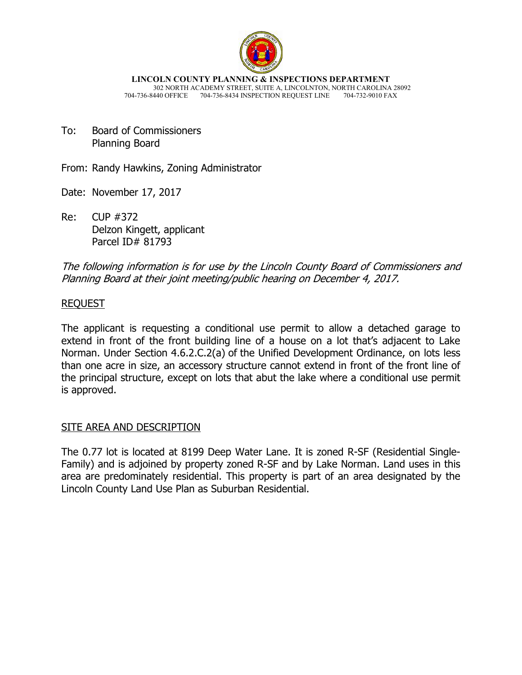

**LINCOLN COUNTY PLANNING & INSPECTIONS DEPARTMENT** 302 NORTH ACADEMY STREET, SUITE A, LINCOLNTON, NORTH CAROLINA 28092 704-736-8440 OFFICE 704-736-8434 INSPECTION REQUEST LINE

To: Board of Commissioners Planning Board

From: Randy Hawkins, Zoning Administrator

Date: November 17, 2017

Re: CUP #372 Delzon Kingett, applicant Parcel ID# 81793

The following information is for use by the Lincoln County Board of Commissioners and Planning Board at their joint meeting/public hearing on December 4, 2017.

## REQUEST

The applicant is requesting a conditional use permit to allow a detached garage to extend in front of the front building line of a house on a lot that's adjacent to Lake Norman. Under Section 4.6.2.C.2(a) of the Unified Development Ordinance, on lots less than one acre in size, an accessory structure cannot extend in front of the front line of the principal structure, except on lots that abut the lake where a conditional use permit is approved.

### SITE AREA AND DESCRIPTION

The 0.77 lot is located at 8199 Deep Water Lane. It is zoned R-SF (Residential Single-Family) and is adjoined by property zoned R-SF and by Lake Norman. Land uses in this area are predominately residential. This property is part of an area designated by the Lincoln County Land Use Plan as Suburban Residential.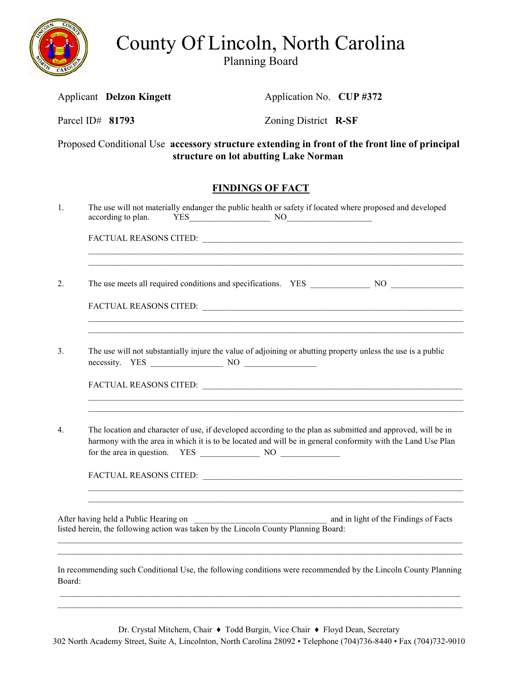

County Of Lincoln, North Carolina

Planning Board

Applicant **Delzon Kingett Application No. <b>CUP #372** 

Parcel ID# **81793** Zoning District **R-SF**

Proposed Conditional Use **accessory structure extending in front of the front line of principal structure on lot abutting Lake Norman** 

# **FINDINGS OF FACT**

| 1.               | The use will not materially endanger the public health or safety if located where proposed and developed                                                                                                                   |  |  |  |  |
|------------------|----------------------------------------------------------------------------------------------------------------------------------------------------------------------------------------------------------------------------|--|--|--|--|
|                  |                                                                                                                                                                                                                            |  |  |  |  |
| $\overline{2}$ . | ,我们也不能在这里的人,我们也不能在这里的人,我们也不能在这里的人,我们也不能在这里的人,我们也不能在这里的人,我们也不能在这里的人,我们也不能在这里的人,我们也                                                                                                                                          |  |  |  |  |
|                  |                                                                                                                                                                                                                            |  |  |  |  |
| 3.               | The use will not substantially injure the value of adjoining or abutting property unless the use is a public                                                                                                               |  |  |  |  |
|                  |                                                                                                                                                                                                                            |  |  |  |  |
| $\overline{4}$ . | The location and character of use, if developed according to the plan as submitted and approved, will be in<br>harmony with the area in which it is to be located and will be in general conformity with the Land Use Plan |  |  |  |  |
|                  |                                                                                                                                                                                                                            |  |  |  |  |
|                  | After having held a Public Hearing on<br>listed herein, the following action was taken by the Lincoln County Planning Board:<br>                                                                                           |  |  |  |  |
| Board:           | In recommending such Conditional Use, the following conditions were recommended by the Lincoln County Planning                                                                                                             |  |  |  |  |

Dr. Crystal Mitchem, Chair ♦ Todd Burgin, Vice Chair ♦ Floyd Dean, Secretary

302 North Academy Street, Suite A, Lincolnton, North Carolina 28092 • Telephone (704)736-8440 • Fax (704)732-9010

 \_\_\_\_\_\_\_\_\_\_\_\_\_\_\_\_\_\_\_\_\_\_\_\_\_\_\_\_\_\_\_\_\_\_\_\_\_\_\_\_\_\_\_\_\_\_\_\_\_\_\_\_\_\_\_\_\_\_\_\_\_\_\_\_\_\_\_\_\_\_\_\_\_\_\_\_\_\_\_\_\_\_\_\_\_\_\_\_\_\_\_\_\_\_  $\mathcal{L}_\mathcal{L} = \{ \mathcal{L}_\mathcal{L} = \{ \mathcal{L}_\mathcal{L} = \{ \mathcal{L}_\mathcal{L} = \{ \mathcal{L}_\mathcal{L} = \{ \mathcal{L}_\mathcal{L} = \{ \mathcal{L}_\mathcal{L} = \{ \mathcal{L}_\mathcal{L} = \{ \mathcal{L}_\mathcal{L} = \{ \mathcal{L}_\mathcal{L} = \{ \mathcal{L}_\mathcal{L} = \{ \mathcal{L}_\mathcal{L} = \{ \mathcal{L}_\mathcal{L} = \{ \mathcal{L}_\mathcal{L} = \{ \mathcal{L}_\mathcal{$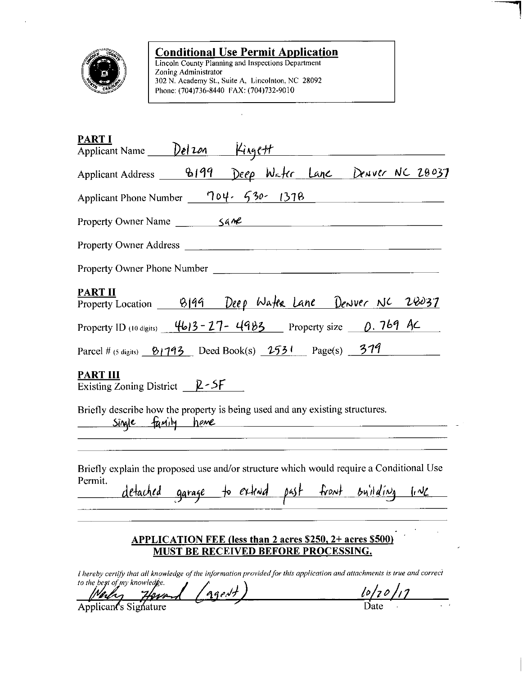

**Conditional Use Permit Application**<br>Lincoln County Planning and Inspections Department<br>Zoning Administrator 302 N. Academy St., Suite A, Lincolnton, NC 28092 Phone: (704)736-8440 FAX: (704)732-9010

 $\ddot{\phantom{0}}$ 

| <b>PART I</b><br>Applicant Name Del 201 Kingett                                                                                                                                                                                                                                                           |
|-----------------------------------------------------------------------------------------------------------------------------------------------------------------------------------------------------------------------------------------------------------------------------------------------------------|
| Applicant Address 8199 Deep Water Lane Denver NC 28037                                                                                                                                                                                                                                                    |
| Applicant Phone Number 704. 530. 1378                                                                                                                                                                                                                                                                     |
|                                                                                                                                                                                                                                                                                                           |
| Property Owner Address <b>Executive Service Service Service Service Service Service Service Service Service Service Service Service Service Service Service Service Service Service Service Service Service Service Service Serv</b>                                                                      |
| Property Owner Phone Number                                                                                                                                                                                                                                                                               |
| <b>PART II</b><br>Property Location 8199 Deep Water Lane Denver NC 28037                                                                                                                                                                                                                                  |
| Property ID (10 digits) $4613 - 27 - 4983$ Property size $0.769$ AC                                                                                                                                                                                                                                       |
| Parcel # (5 digits) $\frac{81793}{ }$ Deed Book(s) $\frac{2531}{ }$ Page(s) $\frac{379}{ }$                                                                                                                                                                                                               |
| <b>PART III</b><br>Existing Zoning District $Q-SF$                                                                                                                                                                                                                                                        |
| Briefly describe how the property is being used and any existing structures.<br>Single family have                                                                                                                                                                                                        |
| Briefly explain the proposed use and/or structure which would require a Conditional Use<br>Permit.<br>detached garage to extend past front building line                                                                                                                                                  |
| APPLICATION FEE (less than 2 acres \$250, 2+ acres \$500)<br>MUST BE RECEIVED BEFORE PROCESSING.<br>I hereby certify that all knowledge of the information provided for this application and attachments is true and correct<br>to the best of my knowledge.<br>$\mathcal{L}$ $\mathcal{L}$ $\mathcal{L}$ |

Medy Howard (agent)

 $\frac{l_0}{l_0}$  Date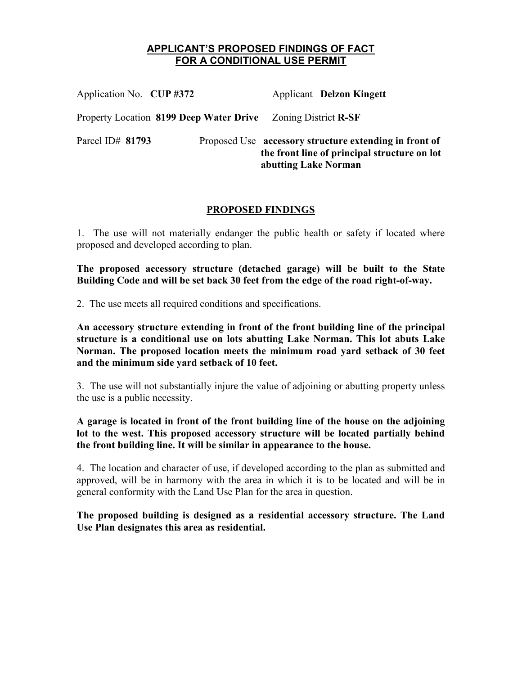### **APPLICANT'S PROPOSED FINDINGS OF FACT FOR A CONDITIONAL USE PERMIT**

| Application No. CUP #372                                     | <b>Applicant Delzon Kingett</b>                                                                                                |  |
|--------------------------------------------------------------|--------------------------------------------------------------------------------------------------------------------------------|--|
| Property Location 8199 Deep Water Drive Zoning District R-SF |                                                                                                                                |  |
| Parcel ID# 81793                                             | Proposed Use accessory structure extending in front of<br>the front line of principal structure on lot<br>abutting Lake Norman |  |

### **PROPOSED FINDINGS**

1. The use will not materially endanger the public health or safety if located where proposed and developed according to plan.

**The proposed accessory structure (detached garage) will be built to the State Building Code and will be set back 30 feet from the edge of the road right-of-way.** 

2. The use meets all required conditions and specifications.

**An accessory structure extending in front of the front building line of the principal structure is a conditional use on lots abutting Lake Norman. This lot abuts Lake Norman. The proposed location meets the minimum road yard setback of 30 feet and the minimum side yard setback of 10 feet.**

3. The use will not substantially injure the value of adjoining or abutting property unless the use is a public necessity.

**A garage is located in front of the front building line of the house on the adjoining lot to the west. This proposed accessory structure will be located partially behind the front building line. It will be similar in appearance to the house.** 

4. The location and character of use, if developed according to the plan as submitted and approved, will be in harmony with the area in which it is to be located and will be in general conformity with the Land Use Plan for the area in question.

**The proposed building is designed as a residential accessory structure. The Land Use Plan designates this area as residential.**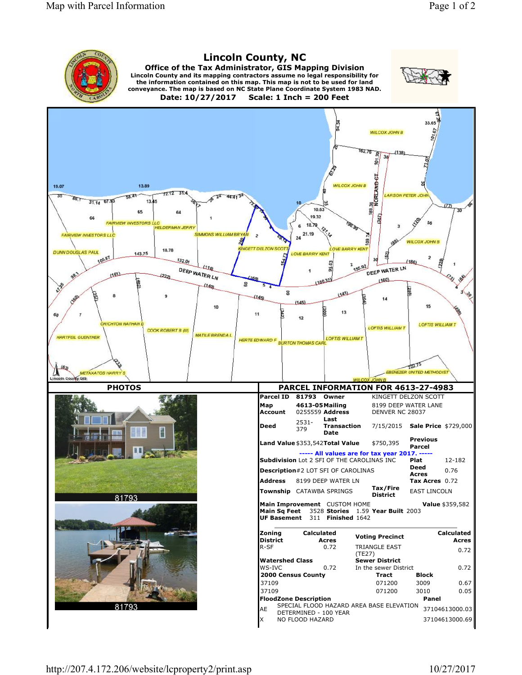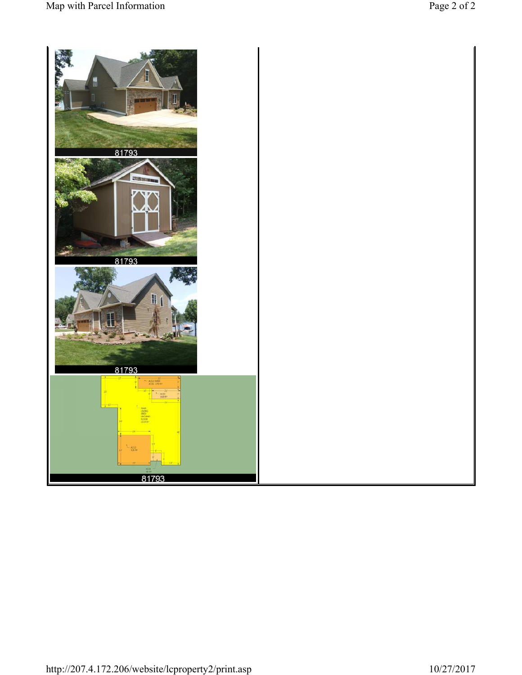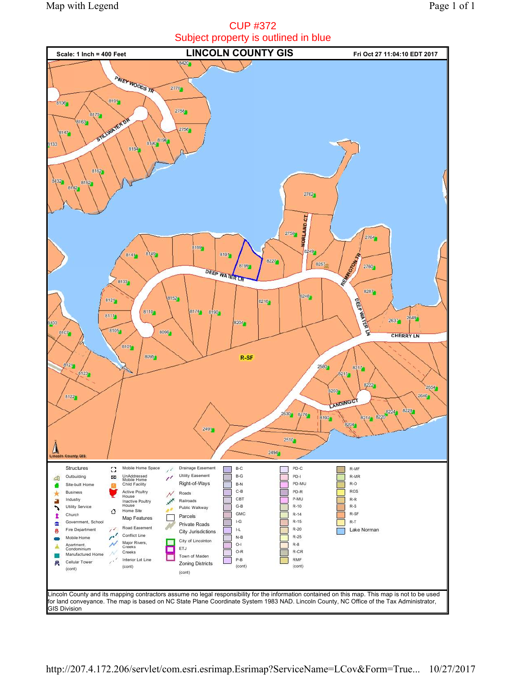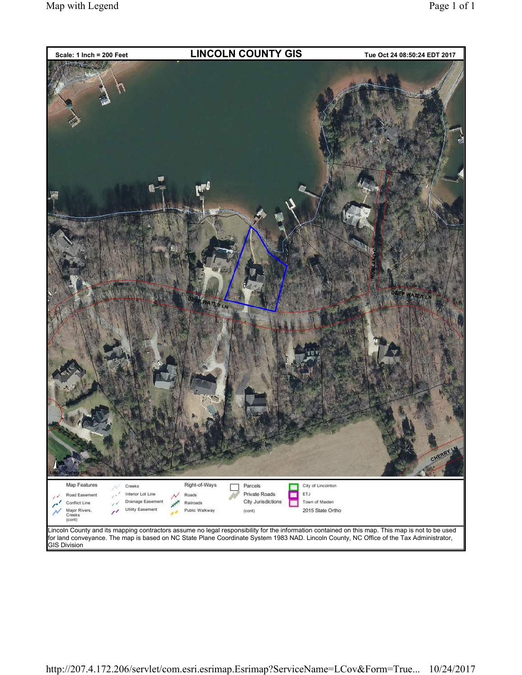